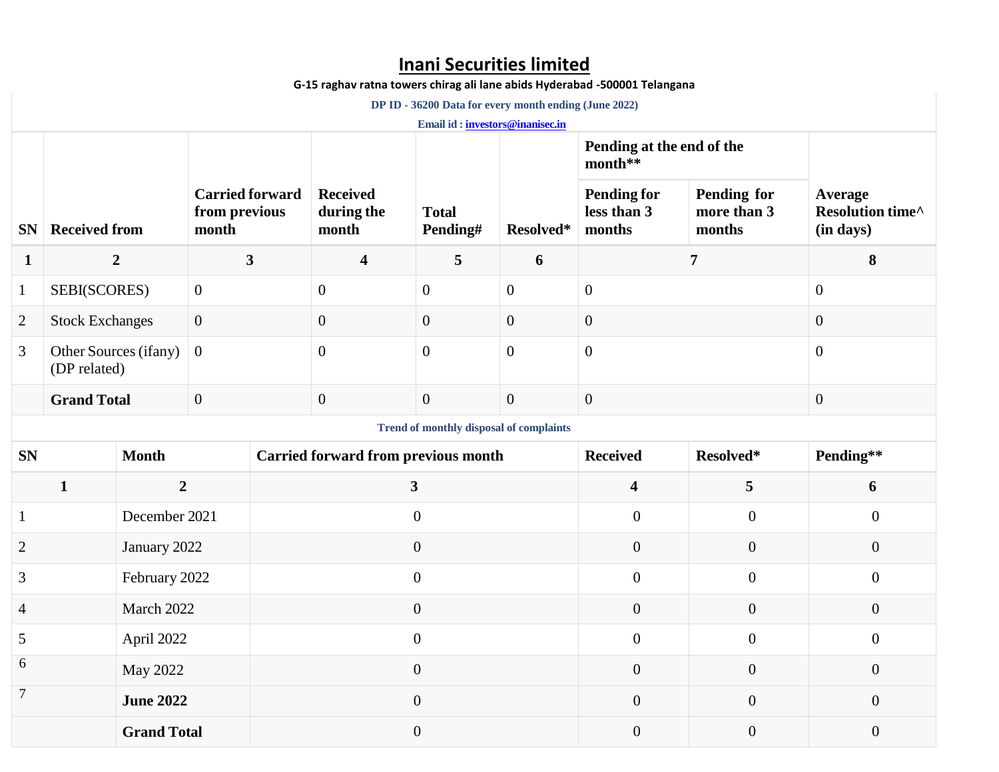# **Inani Securities limited**

**G-15 raghav ratna towers chirag ali lane abids Hyderabad -500001 Telangana**

 **DP ID - 36200 Data for every month ending (June 2022)**

**Email id [: investors@inanisec.in](mailto:investors@inanisec.in)**

|                                                |                                       |                  |                                                                    |                                            |                                        |                          |                  | Pending at the end of the<br>month**        |                                             |                                          |  |
|------------------------------------------------|---------------------------------------|------------------|--------------------------------------------------------------------|--------------------------------------------|----------------------------------------|--------------------------|------------------|---------------------------------------------|---------------------------------------------|------------------------------------------|--|
| <b>SN</b>                                      | <b>Received from</b>                  |                  | <b>Carried forward</b><br>from previous<br>$\mathop{\rm\bf month}$ |                                            | <b>Received</b><br>during the<br>month | <b>Total</b><br>Pending# | Resolved*        | <b>Pending for</b><br>less than 3<br>months | <b>Pending for</b><br>more than 3<br>months | Average<br>Resolution time^<br>(in days) |  |
| 1                                              | $\overline{2}$                        |                  | $\mathbf{3}$                                                       |                                            | $\overline{\mathbf{4}}$                | 5                        | 6                | 7                                           |                                             | 8                                        |  |
| $\mathbf{1}$                                   | SEBI(SCORES)                          |                  | $\overline{0}$                                                     |                                            | $\overline{0}$                         | $\overline{0}$           | $\mathbf{0}$     | $\boldsymbol{0}$                            |                                             | $\overline{0}$                           |  |
| $\overline{2}$                                 | <b>Stock Exchanges</b>                |                  | $\boldsymbol{0}$                                                   |                                            | $\boldsymbol{0}$                       | $\overline{0}$           | $\mathbf{0}$     | $\overline{0}$                              |                                             | $\boldsymbol{0}$                         |  |
| 3                                              | Other Sources (ifany)<br>(DP related) |                  | $\mathbf{0}$                                                       |                                            | $\overline{0}$                         | $\overline{0}$           | $\mathbf{0}$     | $\overline{0}$                              |                                             | $\mathbf{0}$                             |  |
|                                                | <b>Grand Total</b>                    |                  | $\mathbf{0}$                                                       |                                            | $\overline{0}$                         | $\overline{0}$           | $\mathbf{0}$     | $\overline{0}$                              |                                             | $\boldsymbol{0}$                         |  |
| <b>Trend of monthly disposal of complaints</b> |                                       |                  |                                                                    |                                            |                                        |                          |                  |                                             |                                             |                                          |  |
| <b>SN</b>                                      |                                       | <b>Month</b>     |                                                                    | <b>Carried forward from previous month</b> |                                        |                          |                  | <b>Received</b>                             | Resolved*                                   | Pending**                                |  |
|                                                | $\mathbf{1}$                          | $\overline{2}$   |                                                                    |                                            |                                        | $\mathbf{3}$             |                  | $\overline{\mathbf{4}}$                     | 5                                           | 6                                        |  |
| 1                                              |                                       | December 2021    |                                                                    |                                            |                                        | $\overline{0}$           |                  | $\mathbf{0}$                                | $\overline{0}$                              | $\overline{0}$                           |  |
| $\overline{c}$                                 | January 2022                          |                  |                                                                    |                                            | $\overline{0}$                         |                          |                  | $\mathbf{0}$                                | $\boldsymbol{0}$                            | $\boldsymbol{0}$                         |  |
| 3                                              | February 2022                         |                  |                                                                    |                                            | $\mathbf{0}$                           |                          |                  | $\boldsymbol{0}$                            | $\boldsymbol{0}$                            | $\boldsymbol{0}$                         |  |
| 4                                              |                                       | March 2022       |                                                                    | $\overline{0}$                             |                                        |                          | $\boldsymbol{0}$ | $\boldsymbol{0}$                            | $\boldsymbol{0}$                            |                                          |  |
| 5                                              |                                       | April 2022       |                                                                    | $\overline{0}$                             |                                        |                          | $\mathbf{0}$     | $\boldsymbol{0}$                            | $\boldsymbol{0}$                            |                                          |  |
| 6                                              |                                       | May 2022         |                                                                    | $\overline{0}$                             |                                        |                          | $\overline{0}$   | $\boldsymbol{0}$                            | $\boldsymbol{0}$                            |                                          |  |
| $\tau$                                         |                                       | <b>June 2022</b> |                                                                    | $\overline{0}$                             |                                        |                          | $\overline{0}$   | $\boldsymbol{0}$                            | $\boldsymbol{0}$                            |                                          |  |
|                                                | <b>Grand Total</b>                    |                  |                                                                    | $\overline{0}$                             |                                        |                          |                  | $\overline{0}$                              | $\overline{0}$                              | $\overline{0}$                           |  |